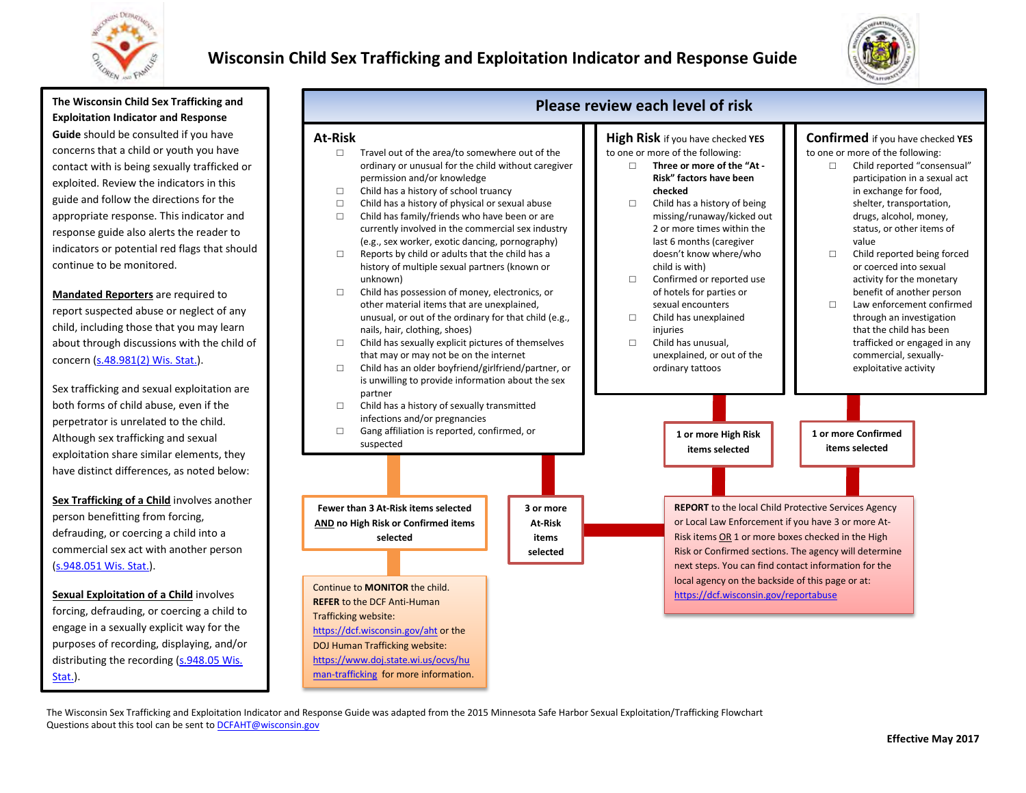

## **Wisconsin Child Sex Trafficking and Exploitation Indicator and Response Guide**



**The Wisconsin Child Sex Trafficking and Exploitation Indicator and Response Guide** should be consulted if you have concerns that a child or youth you have contact with is being sexually trafficked or exploited. Review the indicators in this guide and follow the directions for the appropriate response. This indicator and response guide also alerts the reader to indicators or potential red flags that should continue to be monitored.

**Mandated Reporters** are required to report suspected abuse or neglect of any child, including those that you may learn about through discussions with the child of concern [\(s.48.981\(2\) Wis. Stat.\)](http://docs.legis.wisconsin.gov/document/statutes/48.981(2)).

Sex trafficking and sexual exploitation are both forms of child abuse, even if the perpetrator is unrelated to the child. Although sex trafficking and sexual exploitation share similar elements, they have distinct differences, as noted below:

**Sex Trafficking of a Child** involves another person benefitting from forcing, defrauding, or coercing a child into a commercial sex act with another person [\(s.948.051 Wis. Stat.\).](http://docs.legis.wisconsin.gov/document/statutes/948.051)

**Sexual Exploitation of a Child** involves forcing, defrauding, or coercing a child to engage in a sexually explicit way for the purposes of recording, displaying, and/or distributing the recording [\(s.948.05 Wis.](http://docs.legis.wisconsin.gov/document/statutes/948.05)  [Stat.\)](http://docs.legis.wisconsin.gov/document/statutes/948.05).



The Wisconsin Sex Trafficking and Exploitation Indicator and Response Guide was adapted from the 2015 Minnesota Safe Harbor Sexual Exploitation/Trafficking Flowchart  Questions about this tool can be sent to **DCFAHT@wisconsin.gov**